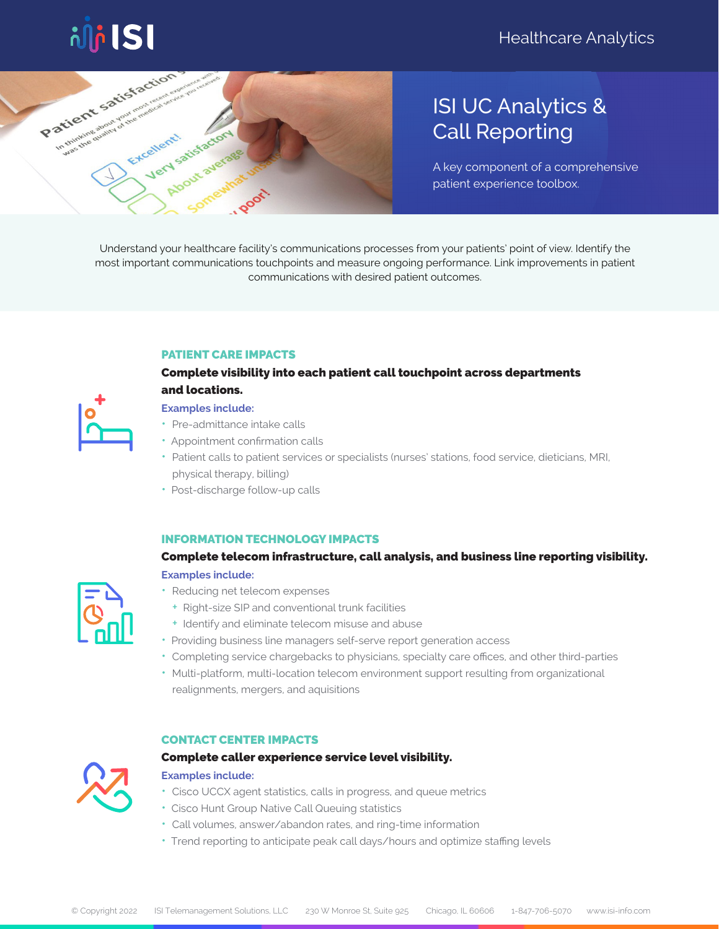



# ISI UC Analytics & Call Reporting

A key component of a comprehensive patient experience toolbox.

Understand your healthcare facility's communications processes from your patients' point of view. Identify the most important communications touchpoints and measure ongoing performance. Link improvements in patient communications with desired patient outcomes.

#### PATIENT CARE IMPACTS

# Complete visibility into each patient call touchpoint across departments and locations.

#### **Examples include:**

- Pre-admittance intake calls
- Appointment confirmation calls
- Patient calls to patient services or specialists (nurses' stations, food service, dieticians, MRI, physical therapy, billing)
- Post-discharge follow-up calls

#### INFORMATION TECHNOLOGY IMPACTS

# Complete telecom infrastructure, call analysis, and business line reporting visibility. **Examples include:**

- 
- Reducing net telecom expenses + Right-size SIP and conventional trunk facilities
	- + Identify and eliminate telecom misuse and abuse
- Providing business line managers self-serve report generation access
- Completing service chargebacks to physicians, specialty care offices, and other third-parties
- Multi-platform, multi-location telecom environment support resulting from organizational realignments, mergers, and aquisitions

#### CONTACT CENTER IMPACTS



#### Complete caller experience service level visibility.

#### **Examples include:**

- Cisco UCCX agent statistics, calls in progress, and queue metrics
- Cisco Hunt Group Native Call Queuing statistics
- Call volumes, answer/abandon rates, and ring-time information
- Trend reporting to anticipate peak call days/hours and optimize staffing levels